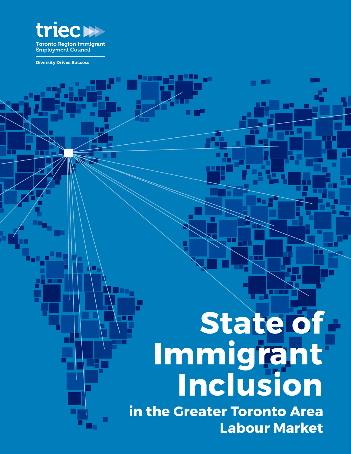

■

**Diversity Drives Success** 

## **State of Immigrant Inclusion**

**MARK** 

n۴

**in the Greater Toronto Area Labour Market**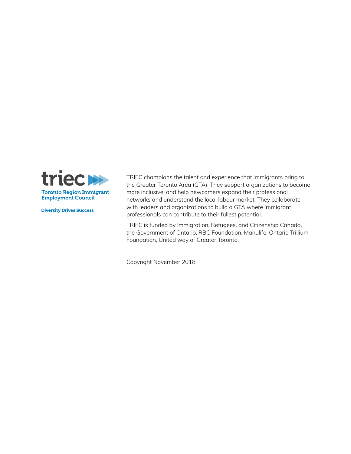

**Diversity Drives Success** 

TRIEC champions the talent and experience that immigrants bring to the Greater Toronto Area (GTA). They support organizations to become more inclusive, and help newcomers expand their professional networks and understand the local labour market. They collaborate with leaders and organizations to build a GTA where immigrant professionals can contribute to their fullest potential.

TRIEC is funded by Immigration, Refugees, and Citizenship Canada, the Government of Ontario, RBC Foundation, Manulife, Ontario Trillium Foundation, United way of Greater Toronto.

Copyright November 2018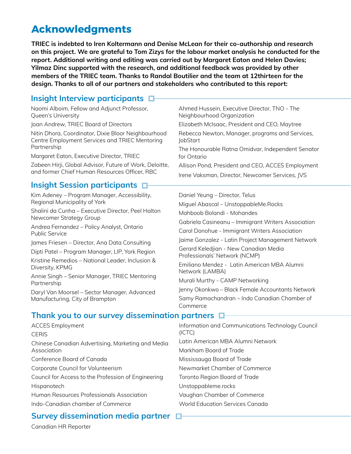## **Acknowledgments**

**TRIEC is indebted to Iren Koltermann and Denise McLean for their co-authorship and research on this project. We are grateful to Tom Zizys for the labour market analysis he conducted for the report. Additional writing and editing was carried out by Margaret Eaton and Helen Davies; Yilmaz Dinc supported with the research, and additional feedback was provided by other members of the TRIEC team. Thanks to Randal Boutilier and the team at 12thirteen for the design. Thanks to all of our partners and stakeholders who contributed to this report:**

## **Insight Interview participants**

| Naomi Alboim, Fellow and Adjunct Professor,<br>Queen's University                                                    | Ahmed Hussein, Executive Director, TNO - The<br>Neighbourhood Organization                                              |  |
|----------------------------------------------------------------------------------------------------------------------|-------------------------------------------------------------------------------------------------------------------------|--|
| Joan Andrew, TRIEC Board of Directors                                                                                | Elizabeth McIsaac, President and CEO, Maytree                                                                           |  |
| Nitin Dhora, Coordinator, Dixie Bloor Neighbourhood<br>Centre Employment Services and TRIEC Mentoring<br>Partnership | Rebecca Newton, Manager, programs and Services,<br><b>JobStart</b><br>The Honourable Ratna Omidvar, Independent Senator |  |
| Margaret Eaton, Executive Director, TRIEC                                                                            | for Ontario                                                                                                             |  |
| Zabeen Hirji, Global Advisor, Future of Work, Deloitte,                                                              | Allison Pond, President and CEO, ACCES Employment                                                                       |  |
| and former Chief Human Resources Officer, RBC                                                                        | Irene Vaksman, Director, Newcomer Services, JVS                                                                         |  |
| Insight Session participants □                                                                                       |                                                                                                                         |  |
| Kim Adeney - Program Manager, Accessibility,<br>Regional Municipality of York                                        | Daniel Yeung - Director, Telus                                                                                          |  |
| Shalini da Cunha - Executive Director, Peel Halton<br>Newcomer Strategy Group                                        | Miguel Abascal - UnstoppableMe.Rocks<br>Mahboob Bolandi - Mohandes                                                      |  |
| Andrea Fernandez - Policy Analyst, Ontario<br><b>Public Service</b>                                                  | Gabriela Casineanu - Immigrant Writers Association<br>Carol Donohue - Immigrant Writers Association                     |  |
| James Friesen – Director, Ana Data Consulting                                                                        | Jaime Gonzalez - Latin Project Management Network                                                                       |  |
| Dipti Patel – Program Manager, LIP, York Region                                                                      | Gerard Keledjian - New Canadian Media<br>Professionals' Network (NCMP)                                                  |  |
| Kristine Remedios - National Leader, Inclusion &<br>Diversity, KPMG                                                  | Emiliano Mendez - Latin American MBA Alumni<br>Network (LAMBA)                                                          |  |
| Annie Singh - Senior Manager, TRIEC Mentoring<br>Partnership                                                         | Murali Murthy - CAMP Networking                                                                                         |  |
| Daryl Van Moorsel - Sector Manager, Advanced                                                                         | Jenny Okonkwo - Black Female Accountants Network                                                                        |  |
| Manufacturing, City of Brampton                                                                                      | Samy Ramachandran - Indo Canadian Chamber of<br>Commerce                                                                |  |
| Thank you to our survey dissemination partners                                                                       |                                                                                                                         |  |
| <b>ACCES Employment</b>                                                                                              | Information and Communications Technology Council                                                                       |  |

#### **CERIS** Chinese Canadian Advertising, Marketing and Media Association Conference Board of Canada Corporate Council for Volunteerism Council for Access to the Profession of Engineering **Hispanotech** Human Resources Professionals Association Indo-Canadian chamber of Commerce (ICTC) Latin American MBA Alumni Network Markham Board of Trade Mississauga Board of Trade Newmarket Chamber of Commerce Toronto Region Board of Trade Unstoppableme.rocks Vaughan Chamber of Commerce World Education Services Canada

## **Survey dissemination media partner**

Canadian HR Reporter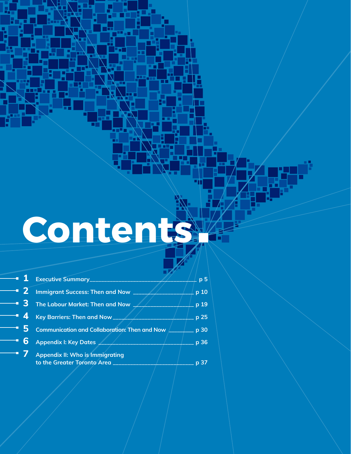# **Contents**

Ī

w.

┳

71

Ě

п

n m

Ī

Ξ

j.

Ē

Ă

|           | $\begin{array}{ c c c }\n \hline\n \end{array}$ Executive Summary                                                              | p <sub>5</sub> |
|-----------|--------------------------------------------------------------------------------------------------------------------------------|----------------|
|           | $\overline{\phantom{a}}$ 2 Immigrant Success: Then and Now $\overline{\phantom{a}}$                                            | p 10           |
|           | $\overline{\phantom{a}}$ 3 $\overline{\phantom{a}}$ The Labour Market: Then and Now $\overline{\phantom{a}}$                   | p 19           |
|           | $\overline{\phantom{a}}$ $\overline{\phantom{a}}$ $\overline{\phantom{a}}$ Key Barriers: Then and Now $\overline{\phantom{a}}$ | p 25           |
|           | $\overline{\phantom{a}}$ 5 Communication and Collaboration: Then and Now                                                       | p 30           |
| $-6$      | <b>Appendix I: Key Dates</b>                                                                                                   | p 36           |
| <b>37</b> | <b>Appendix II: Who is Immigrating</b><br>to the Greater Toronto Area _____                                                    | p 37           |
|           |                                                                                                                                |                |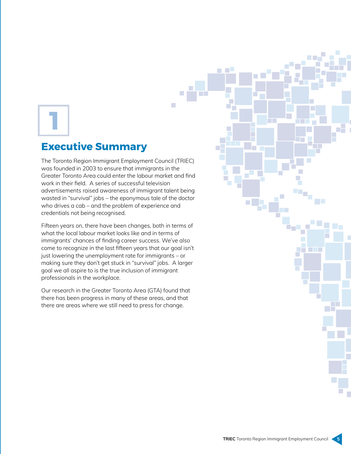## **Executive Summary**

The Toronto Region Immigrant Employment Council (TRIEC) was founded in 2003 to ensure that immigrants in the Greater Toronto Area could enter the labour market and find work in their field. A series of successful television advertisements raised awareness of immigrant talent being wasted in "survival" jobs – the eponymous tale of the doctor who drives a cab – and the problem of experience and credentials not being recognised.

a.

Fifteen years on, there have been changes, both in terms of what the local labour market looks like and in terms of immigrants' chances of finding career success. We've also come to recognize in the last fifteen years that our goal isn't just lowering the unemployment rate for immigrants – or making sure they don't get stuck in "survival" jobs. A larger goal we all aspire to is the true inclusion of immigrant professionals in the workplace.

Our research in the Greater Toronto Area (GTA) found that there has been progress in many of these areas, and that there are areas where we still need to press for change.

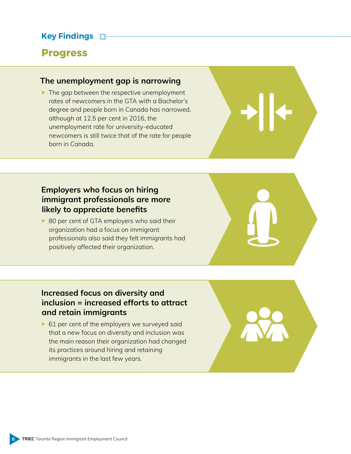## **Key Findings**

## **Progress**

## **The unemployment gap is narrowing**

 $\blacktriangleright$  The gap between the respective unemployment rates of newcomers in the GTA with a Bachelor's degree and people born in Canada has narrowed, although at 12.5 per cent in 2016, the unemployment rate for university-educated newcomers is still twice that of the rate for people born in Canada.

## **Employers who focus on hiring immigrant professionals are more likely to appreciate benefits**

▶ 80 per cent of GTA employers who said their organization had a focus on immigrant professionals also said they felt immigrants had positively affected their organization.



## **Increased focus on diversity and inclusion = increased efforts to attract and retain immigrants**

▶ 61 per cent of the employers we surveyed said that a new focus on diversity and inclusion was the main reason their organization had changed its practices around hiring and retaining immigrants in the last few years.

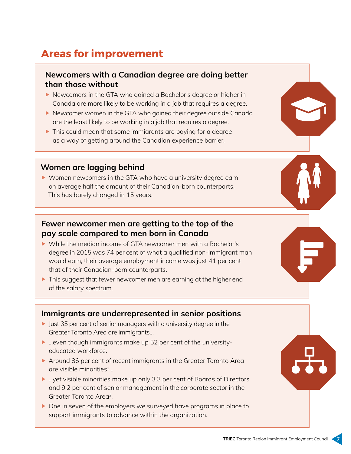## **Areas for improvement**

## **Newcomers with a Canadian degree are doing better than those without**

- ▶ Newcomers in the GTA who gained a Bachelor's degree or higher in Canada are more likely to be working in a job that requires a degree.
- Newcomer women in the GTA who gained their degree outside Canada are the least likely to be working in a job that requires a degree.
- $\blacktriangleright$  This could mean that some immigrants are paying for a degree as a way of getting around the Canadian experience barrier.

## **Women are lagging behind**

▶ Women newcomers in the GTA who have a university degree earn on average half the amount of their Canadian-born counterparts. This has barely changed in 15 years.

## **Fewer newcomer men are getting to the top of the pay scale compared to men born in Canada**

- While the median income of GTA newcomer men with a Bachelor's degree in 2015 was 74 per cent of what a qualified non-immigrant man would earn, their average employment income was just 41 per cent that of their Canadian-born counterparts.
- ▶ This suggest that fewer newcomer men are earning at the higher end of the salary spectrum.

## **Immigrants are underrepresented in senior positions**

- I Just 35 per cent of senior managers with a university degree in the Greater Toronto Area are immigrants…
- ▶ …even though immigrants make up 52 per cent of the universityeducated workforce.
- Around 86 per cent of recent immigrants in the Greater Toronto Area are visible minorities<sup>1</sup>...
- ▶ …yet visible minorities make up only 3.3 per cent of Boards of Directors and 9.2 per cent of senior management in the corporate sector in the Greater Toronto Area2.
- ▶ One in seven of the employers we surveyed have programs in place to support immigrants to advance within the organization.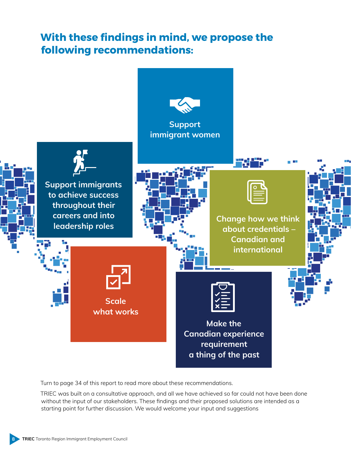## **With these findings in mind, we propose the following recommendations:**



Turn to page 34 of this report to read more about these recommendations.

TRIEC was built on a consultative approach, and all we have achieved so far could not have been done without the input of our stakeholders. These findings and their proposed solutions are intended as a starting point for further discussion. We would welcome your input and suggestions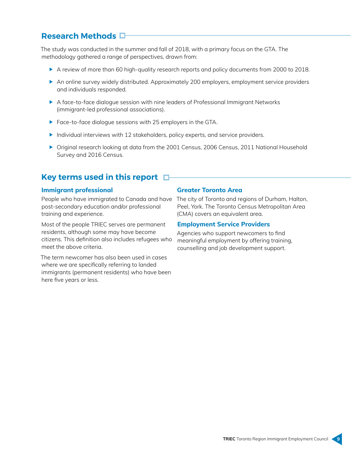## **Research Methods**

The study was conducted in the summer and fall of 2018, with a primary focus on the GTA. The methodology gathered a range of perspectives, drawn from:

- A review of more than 60 high-quality research reports and policy documents from 2000 to 2018.
- An online survey widely distributed. Approximately 200 employers, employment service providers and individuals responded.
- A face-to-face dialogue session with nine leaders of Professional Immigrant Networks (immigrant-led professional associations).
- **Face-to-face dialogue sessions with 25 employers in the GTA.**
- Individual interviews with 12 stakeholders, policy experts, and service providers.
- ▶ Original research looking at data from the 2001 Census, 2006 Census, 2011 National Household Survey and 2016 Census.

## **Key terms used in this report**

#### **Immigrant professional**

post-secondary education and/or professional training and experience.

Most of the people TRIEC serves are permanent residents, although some may have become citizens. This definition also includes refugees who meet the above criteria.

The term newcomer has also been used in cases where we are specifically referring to landed immigrants (permanent residents) who have been here five years or less.

#### **Greater Toronto Area**

People who have immigrated to Canada and have The city of Toronto and regions of Durham, Halton, Peel, York. The Toronto Census Metropolitan Area (CMA) covers an equivalent area.

#### **Employment Service Providers**

Agencies who support newcomers to find meaningful employment by offering training, counselling and job development support.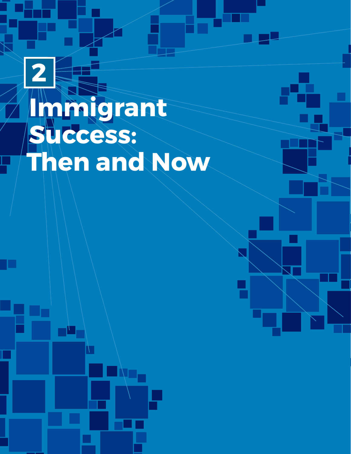## **Immigrant Success: Then and Now 2**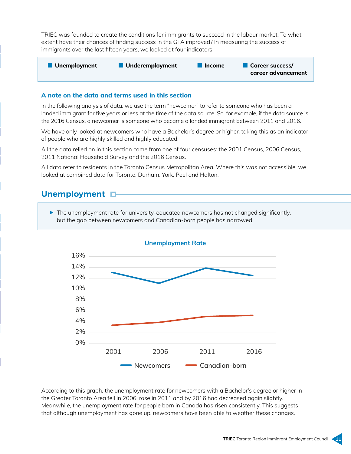TRIEC was founded to create the conditions for immigrants to succeed in the labour market. To what extent have their chances of finding success in the GTA improved? In measuring the success of immigrants over the last fifteen years, we looked at four indicators:



#### **A note on the data and terms used in this section**

In the following analysis of data, we use the term "newcomer" to refer to someone who has been a landed immigrant for five years or less at the time of the data source. So, for example, if the data source is the 2016 Census, a newcomer is someone who became a landed immigrant between 2011 and 2016.

We have only looked at newcomers who have a Bachelor's degree or higher, taking this as an indicator of people who are highly skilled and highly educated.

All the data relied on in this section come from one of four censuses: the 2001 Census, 2006 Census, 2011 National Household Survey and the 2016 Census.

All data refer to residents in the Toronto Census Metropolitan Area. Where this was not accessible, we looked at combined data for Toronto, Durham, York, Peel and Halton.

### **Unemployment**

 $\blacktriangleright$  The unemployment rate for university-educated newcomers has not changed significantly, but the gap between newcomers and Canadian-born people has narrowed



According to this graph, the unemployment rate for newcomers with a Bachelor's degree or higher in the Greater Toronto Area fell in 2006, rose in 2011 and by 2016 had decreased again slightly. Meanwhile, the unemployment rate for people born in Canada has risen consistently. This suggests that although unemployment has gone up, newcomers have been able to weather these changes.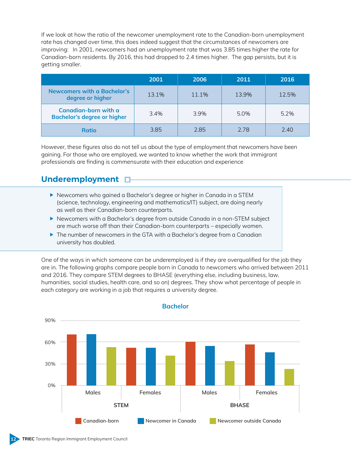If we look at how the ratio of the newcomer unemployment rate to the Canadian-born unemployment rate has changed over time, this does indeed suggest that the circumstances of newcomers are improving: In 2001, newcomers had an unemployment rate that was 3.85 times higher the rate for Canadian-born residents. By 2016, this had dropped to 2.4 times higher. The gap persists, but it is getting smaller.

|                                                            | 2001  | 2006  | 2011  | 2016  |
|------------------------------------------------------------|-------|-------|-------|-------|
| Newcomers with a Bachelor's<br>degree or higher            | 13.1% | 11.1% | 13.9% | 12.5% |
| Canadian-born with a<br><b>Bachelor's degree or higher</b> | 3.4%  | 3.9%  | 5.0%  | 5.2%  |
| <b>Ratio</b>                                               | 3.85  | 2.85  | 2.78  | 7.40  |

However, these figures also do not tell us about the type of employment that newcomers have been gaining. For those who are employed, we wanted to know whether the work that immigrant professionals are finding is commensurate with their education and experience

## **Underemployment**

- Newcomers who gained a Bachelor's degree or higher in Canada in a STEM (science, technology, engineering and mathematics/IT) subject, are doing nearly as well as their Canadian-born counterparts.
- Newcomers with a Bachelor's degree from outside Canada in a non-STEM subject are much worse off than their Canadian-born counterparts – especially women.
- ▶ The number of newcomers in the GTA with a Bachelor's degree from a Canadian university has doubled.

One of the ways in which someone can be underemployed is if they are overqualified for the job they are in. The following graphs compare people born in Canada to newcomers who arrived between 2011 and 2016. They compare STEM degrees to BHASE (everything else, including business, law, humanities, social studies, health care, and so on) degrees. They show what percentage of people in each category are working in a job that requires a university degree.



**Bachelor**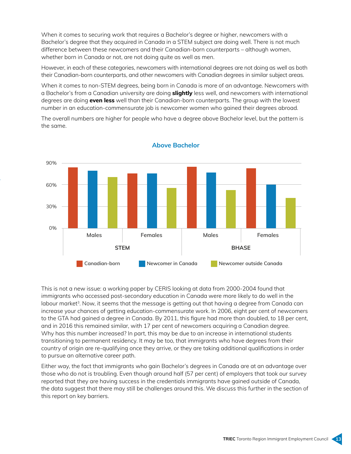When it comes to securing work that requires a Bachelor's degree or higher, newcomers with a Bachelor's degree that they acquired in Canada in a STEM subject are doing well. There is not much difference between these newcomers and their Canadian-born counterparts – although women, whether born in Canada or not, are not doing quite as well as men.

However, in each of these categories, newcomers with international degrees are not doing as well as both their Canadian-born counterparts, and other newcomers with Canadian degrees in similar subject areas.

When it comes to non-STEM degrees, being born in Canada is more of an advantage. Newcomers with a Bachelor's from a Canadian university are doing **slightly** less well, and newcomers with international degrees are doing **even less** well than their Canadian-born counterparts. The group with the lowest number in an education-commensurate job is newcomer women who gained their degrees abroad.

The overall numbers are higher for people who have a degree above Bachelor level, but the pattern is the same.



**Above Bachelor**

This is not a new issue: a working paper by CERIS looking at data from 2000-2004 found that immigrants who accessed post-secondary education in Canada were more likely to do well in the labour market<sup>3</sup>. Now, it seems that the message is getting out that having a degree from Canada can increase your chances of getting education-commensurate work. In 2006, eight per cent of newcomers to the GTA had gained a degree in Canada. By 2011, this figure had more than doubled, to 18 per cent, and in 2016 this remained similar, with 17 per cent of newcomers acquiring a Canadian degree. Why has this number increased? In part, this may be due to an increase in international students transitioning to permanent residency. It may be too, that immigrants who have degrees from their country of origin are re-qualifying once they arrive, or they are taking additional qualifications in order to pursue an alternative career path.

Either way, the fact that immigrants who gain Bachelor's degrees in Canada are at an advantage over those who do not is troubling. Even though around half (57 per cent) of employers that took our survey reported that they are having success in the credentials immigrants have gained outside of Canada, the data suggest that there may still be challenges around this. We discuss this further in the section of this report on key barriers.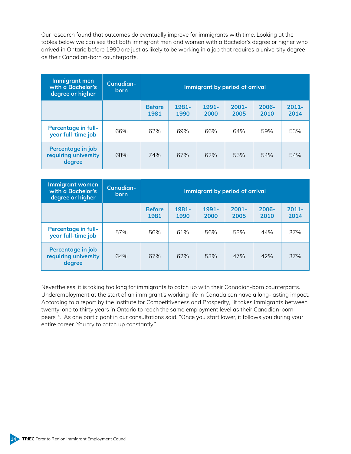Our research found that outcomes do eventually improve for immigrants with time. Looking at the tables below we can see that both immigrant men and women with a Bachelor's degree or higher who arrived in Ontario before 1990 are just as likely to be working in a job that requires a university degree as their Canadian-born counterparts.

| Immigrant men<br>with a Bachelor's<br>degree or higher | Canadian-<br><b>born</b> | Immigrant by period of arrival |               |               |                  |                  |                  |
|--------------------------------------------------------|--------------------------|--------------------------------|---------------|---------------|------------------|------------------|------------------|
|                                                        |                          | <b>Before</b><br>1981          | 1981-<br>1990 | 1991-<br>2000 | $2001 -$<br>2005 | $2006 -$<br>2010 | $2011 -$<br>2014 |
| <b>Percentage in full-</b><br>year full-time job       | 66%                      | 62%                            | 69%           | 66%           | 64%              | 59%              | 53%              |
| Percentage in job<br>requiring university<br>degree    | 68%                      | 74%                            | 67%           | 62%           | 55%              | 54%              | 54%              |

| Immigrant women<br>with a Bachelor's<br>degree or higher | Canadian-<br><b>born</b> | Immigrant by period of arrival |               |                  |                  |                  |                  |
|----------------------------------------------------------|--------------------------|--------------------------------|---------------|------------------|------------------|------------------|------------------|
|                                                          |                          | <b>Before</b><br>1981          | 1981-<br>1990 | $1991 -$<br>2000 | $2001 -$<br>2005 | $2006 -$<br>2010 | $2011 -$<br>2014 |
| <b>Percentage in full-</b><br>year full-time job         | 57%                      | 56%                            | 61%           | 56%              | 53%              | 44%              | 37%              |
| Percentage in job<br>requiring university<br>degree      | 64%                      | 67%                            | 62%           | 53%              | 47%              | 42%              | 37%              |

Nevertheless, it is taking too long for immigrants to catch up with their Canadian-born counterparts. Underemployment at the start of an immigrant's working life in Canada can have a long-lasting impact. According to a report by the Institute for Competitiveness and Prosperity, "it takes immigrants between twenty-one to thirty years in Ontario to reach the same employment level as their Canadian-born peers"4. As one participant in our consultations said, "Once you start lower, it follows you during your entire career. You try to catch up constantly."

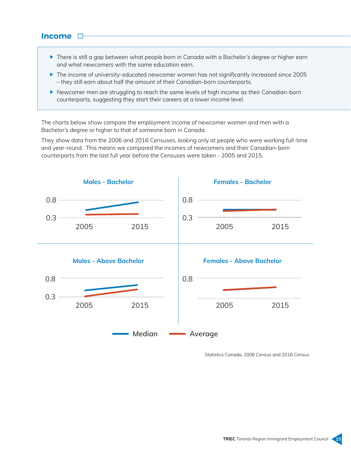### **Income**

- ▶ There is still a gap between what people born in Canada with a Bachelor's degree or higher earn and what newcomers with the same education earn.
- ▶ The income of university-educated newcomer women has not significantly increased since 2005 – they still earn about half the amount of their Canadian-born counterparts.
- Newcomer men are struggling to reach the same levels of high income as their Canadian-born counterparts, suggesting they start their careers at a lower income level.

The charts below show compare the employment income of newcomer women and men with a Bachelor's degree or higher to that of someone born in Canada.

They show data from the 2006 and 2016 Censuses, looking only at people who were working full-time and year-round. This means we compared the incomes of newcomers and their Canadian-born counterparts from the last full year before the Censuses were taken - 2005 and 2015.



Statistics Canada, 2006 Census and 2016 Census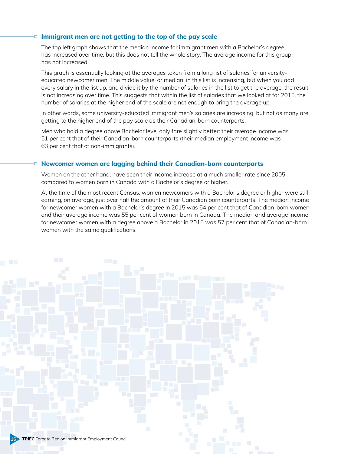#### **Immigrant men are not getting to the top of the pay scale**

The top left graph shows that the median income for immigrant men with a Bachelor's degree has increased over time, but this does not tell the whole story. The average income for this group has not increased.

This graph is essentially looking at the averages taken from a long list of salaries for universityeducated newcomer men. The middle value, or median, in this list is increasing, but when you add every salary in the list up, and divide it by the number of salaries in the list to get the average, the result is not increasing over time. This suggests that within the list of salaries that we looked at for 2015, the number of salaries at the higher end of the scale are not enough to bring the average up.

In other words, some university-educated immigrant men's salaries are increasing, but not as many are getting to the higher end of the pay scale as their Canadian-born counterparts.

Men who hold a degree above Bachelor level only fare slightly better: their average income was 51 per cent that of their Canadian-born counterparts (their median employment income was 63 per cent that of non-immigrants).

#### **Newcomer women are lagging behind their Canadian-born counterparts**

o

Women on the other hand, have seen their income increase at a much smaller rate since 2005 compared to women born in Canada with a Bachelor's degree or higher.

At the time of the most recent Census, women newcomers with a Bachelor's degree or higher were still earning, on average, just over half the amount of their Canadian born counterparts. The median income for newcomer women with a Bachelor's degree in 2015 was 54 per cent that of Canadian-born women and their average income was 55 per cent of women born in Canada. The median and average income for newcomer women with a degree above a Bachelor in 2015 was 57 per cent that of Canadian-born women with the same qualifications.

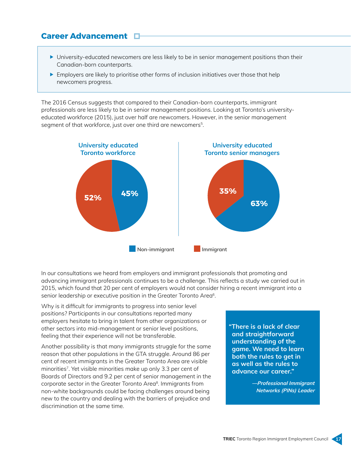## **Career Advancement**

- University-educated newcomers are less likely to be in senior management positions than their Canadian-born counterparts.
- $\blacktriangleright$  Employers are likely to prioritise other forms of inclusion initiatives over those that help newcomers progress.

The 2016 Census suggests that compared to their Canadian-born counterparts, immigrant professionals are less likely to be in senior management positions. Looking at Toronto's universityeducated workforce (2015), just over half are newcomers. However, in the senior management segment of that workforce, just over one third are newcomers<sup>5</sup>.



In our consultations we heard from employers and immigrant professionals that promoting and advancing immigrant professionals continues to be a challenge. This reflects a study we carried out in 2015, which found that 20 per cent of employers would not consider hiring a recent immigrant into a senior leadership or executive position in the Greater Toronto Area<sup>6</sup>.

Why is it difficult for immigrants to progress into senior level positions? Participants in our consultations reported many employers hesitate to bring in talent from other organizations or other sectors into mid-management or senior level positions, feeling that their experience will not be transferable.

Another possibility is that many immigrants struggle for the same reason that other populations in the GTA struggle. Around 86 per cent of recent immigrants in the Greater Toronto Area are visible minorities<sup>7</sup>. Yet visible minorities make up only 3.3 per cent of Boards of Directors and 9.2 per cent of senior management in the corporate sector in the Greater Toronto Area<sup>8</sup>. Immigrants from non-white backgrounds could be facing challenges around being new to the country and dealing with the barriers of prejudice and discrimination at the same time.

**"There is a lack of clear and straightforward understanding of the game. We need to learn both the rules to get in as well as the rules to advance our career."**

> **—Professional Immigrant Networks (PINs) Leader**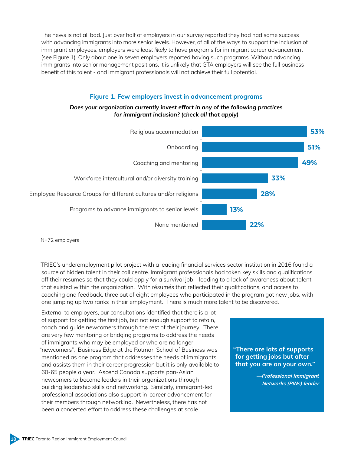The news is not all bad. Just over half of employers in our survey reported they had had some success with advancing immigrants into more senior levels. However, of all of the ways to support the inclusion of immigrant employees, employers were *least likely* to have programs for immigrant career advancement (see Figure 1). Only about one in seven employers reported having such programs. Without advancing immigrants into senior management positions, it is unlikely that GTA employers will see the full business benefit of this talent - and immigrant professionals will not achieve their full potential.

#### **Figure 1. Few employers invest in advancement programs**

#### *Does your organization currently invest effort in any of the following practices for immigrant inclusion? (check all that apply)*



N=72 employers

TRIEC's underemployment pilot project with a leading financial services sector institution in 2016 found a source of hidden talent in their call centre. Immigrant professionals had taken key skills and qualifications off their resumes so that they could apply for a survival job—leading to a lack of awareness about talent that existed within the organization. With résumés that reflected their qualifications, and access to coaching and feedback, three out of eight employees who participated in the program got new jobs, with one jumping up two ranks in their employment. There is much more talent to be discovered.

External to employers, our consultations identified that there is a lot of support for getting the first job, but not enough support to retain, coach and guide newcomers through the rest of their journey. There are very few mentoring or bridging programs to address the needs of immigrants who may be employed or who are no longer "newcomers". Business Edge at the Rotman School of Business was mentioned as one program that addresses the needs of immigrants and assists them in their career progression but it is only available to 60-65 people a year. Ascend Canada supports pan-Asian newcomers to become leaders in their organizations through building leadership skills and networking. Similarly, immigrant-led professional associations also support in-career advancement for their members through networking. Nevertheless, there has not been a concerted effort to address these challenges at scale.

**"There are lots of supports for getting jobs but after that you are on your own."** 

> **—Professional Immigrant Networks (PINs) leader**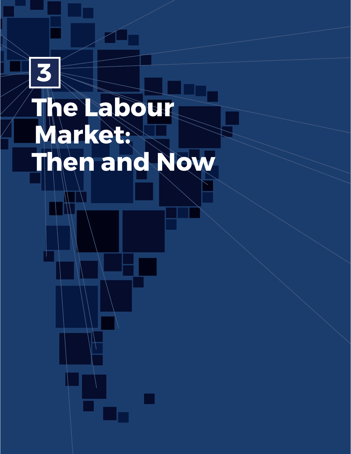## **The Labour Market: Then and Now 3**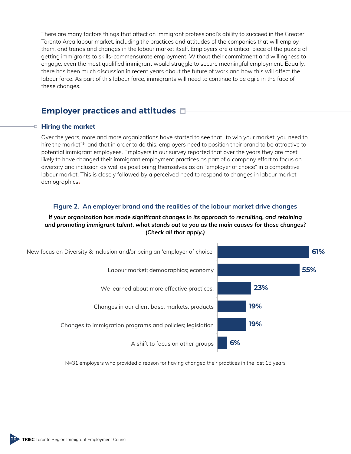There are many factors things that affect an immigrant professional's ability to succeed in the Greater Toronto Area labour market, including the practices and attitudes of the companies that will employ them, and trends and changes in the labour market itself. Employers are a critical piece of the puzzle of getting immigrants to skills-commensurate employment. Without their commitment and willingness to engage, even the most qualified immigrant would struggle to secure meaningful employment. Equally, there has been much discussion in recent years about the future of work and how this will affect the labour force. As part of this labour force, immigrants will need to continue to be agile in the face of these changes.

## **Employer practices and attitudes**

#### **Hiring the market**

Over the years, more and more organizations have started to see that "to win your market, you need to hire the market"<sup>9</sup> and that in order to do this, employers need to position their brand to be attractive to potential immigrant employees. Employers in our survey reported that over the years they are most likely to have changed their immigrant employment practices as part of a company effort to focus on diversity and inclusion as well as positioning themselves as an "employer of choice" in a competitive labour market. This is closely followed by a perceived need to respond to changes in labour market demographics**.**

#### **Figure 2. An employer brand and the realities of the labour market drive changes**

#### *If your organization has made significant changes in its approach to recruiting, and retaining and promoting immigrant talent, what stands out to you as the main causes for those changes? (Check all that apply.)*



N=31 employers who provided a reason for having changed their practices in the last 15 years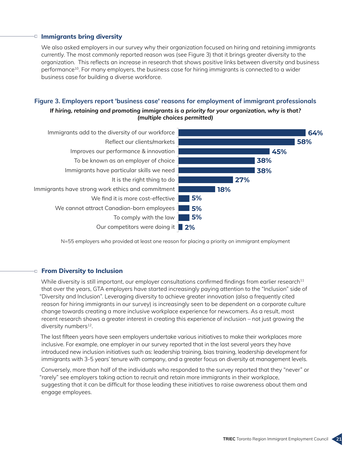#### **Immigrants bring diversity**

We also asked employers in our survey why their organization focused on hiring and retaining immigrants currently. The most commonly reported reason was (see Figure 3) that it brings greater diversity to the organization. This reflects an increase in research that shows positive links between diversity and business performance10. For many employers, the business case for hiring immigrants is connected to a wider business case for building a diverse workforce.

#### **Figure 3. Employers report 'business case' reasons for employment of immigrant professionals**

*If hiring, retaining and promoting immigrants is a priority for your organization, why is that? (multiple choices permitted)*



N=55 employers who provided at least one reason for placing a priority on immigrant employment

#### **From Diversity to Inclusion**

While diversity is still important, our employer consultations confirmed findings from earlier research $11$ that over the years, GTA employers have started increasingly paying attention to the "Inclusion" side of "Diversity and Inclusion". Leveraging diversity to achieve greater innovation (also a frequently cited reason for hiring immigrants in our survey) is increasingly seen to be dependent on a corporate culture change towards creating a more inclusive workplace experience for newcomers. As a result, most recent research shows a greater interest in creating this experience of inclusion – not just growing the diversity numbers<sup>12</sup>.

The last fifteen years have seen employers undertake various initiatives to make their workplaces more inclusive. For example, one employer in our survey reported that in the last several years they have introduced new inclusion initiatives such as: leadership training, bias training, leadership development for immigrants with 3-5 years' tenure with company, and a greater focus on diversity at management levels.

Conversely, more than half of the individuals who responded to the survey reported that they "never" or "rarely" see employers taking action to recruit and retain more immigrants in their workplace, suggesting that it can be difficult for those leading these initiatives to raise awareness about them and engage employees.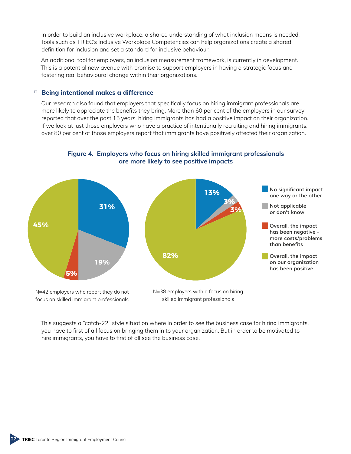In order to build an inclusive workplace, a shared understanding of what inclusion means is needed. Tools such as TRIEC's Inclusive Workplace Competencies can help organizations create a shared definition for inclusion and set a standard for inclusive behaviour.

An additional tool for employers, an inclusion measurement framework, is currently in development. This is a potential new avenue with promise to support employers in having a strategic focus and fostering real behavioural change within their organizations.

#### **Being intentional makes a difference**

Our research also found that employers that specifically focus on hiring immigrant professionals are more likely to appreciate the benefits they bring. More than 60 per cent of the employers in our survey reported that over the past 15 years, hiring immigrants has had a positive impact on their organization. If we look at just those employers who have a practice of intentionally recruiting and hiring immigrants, over 80 per cent of those employers report that immigrants have positively affected their organization.



**Figure 4. Employers who focus on hiring skilled immigrant professionals are more likely to see positive impacts**

This suggests a "catch-22" style situation where in order to see the business case for hiring immigrants, you have to first of all focus on bringing them in to your organization. But in order to be motivated to hire immigrants, you have to first of all see the business case.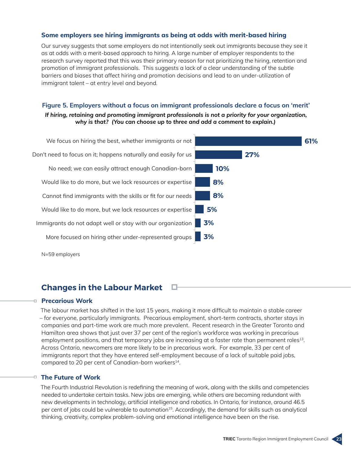#### **Some employers see hiring immigrants as being at odds with merit-based hiring**

Our survey suggests that some employers do not intentionally seek out immigrants because they see it as at odds with a merit-based approach to hiring. A large number of employer respondents to the research survey reported that this was their primary reason for not prioritizing the hiring, retention and promotion of immigrant professionals. This suggests a lack of a clear understanding of the subtle barriers and biases that affect hiring and promotion decisions and lead to an under-utilization of immigrant talent – at entry level and beyond.

#### **Figure 5. Employers without a focus on immigrant professionals declare a focus on 'merit'** *If hiring, retaining and promoting immigrant professionals is not a priority for your organization, why is that? (You can choose up to three and add a comment to explain.)*



## **Changes in the Labour Market**

#### **Precarious Work**

The labour market has shifted in the last 15 years, making it more difficult to maintain a stable career – for everyone, particularly immigrants. Precarious employment, short-term contracts, shorter stays in companies and part-time work are much more prevalent. Recent research in the Greater Toronto and Hamilton area shows that just over 37 per cent of the region's workforce was working in precarious employment positions, and that temporary jobs are increasing at a faster rate than permanent roles<sup>13</sup>. Across Ontario, newcomers are more likely to be in precarious work. For example, 33 per cent of immigrants report that they have entered self-employment because of a lack of suitable paid jobs, compared to 20 per cent of Canadian-born workers<sup>14</sup>.

#### **The Future of Work**

The Fourth Industrial Revolution is redefining the meaning of work, along with the skills and competencies needed to undertake certain tasks. New jobs are emerging, while others are becoming redundant with new developments in technology, artificial intelligence and robotics. In Ontario, for instance, around 46.5 per cent of jobs could be vulnerable to automation<sup>15</sup>. Accordingly, the demand for skills such as analytical thinking, creativity, complex problem-solving and emotional intelligence have been on the rise.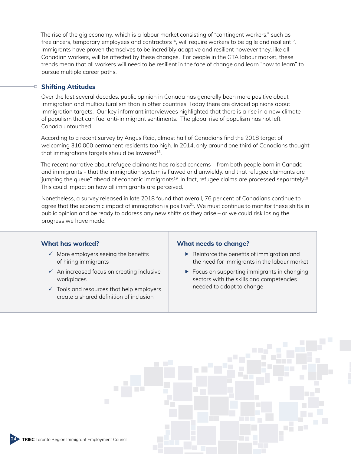The rise of the gig economy, which is a labour market consisting of "contingent workers," such as freelancers, temporary employees and contractors<sup>16</sup>, will require workers to be agile and resilient<sup>17</sup>. Immigrants have proven themselves to be incredibly adaptive and resilient however they, like all Canadian workers, will be affected by these changes. For people in the GTA labour market, these trends mean that all workers will need to be resilient in the face of change and learn "how to learn" to pursue multiple career paths.

#### **Shifting Attitudes** o.

Over the last several decades, public opinion in Canada has generally been more positive about immigration and multiculturalism than in other countries. Today there are divided opinions about immigration targets. Our key informant interviewees highlighted that there is a rise in a new climate of populism that can fuel anti-immigrant sentiments. The global rise of populism has not left Canada untouched.

According to a recent survey by Angus Reid, almost half of Canadians find the 2018 target of welcoming 310,000 permanent residents too high. In 2014, only around one third of Canadians thought that immigrations targets should be lowered<sup>18</sup>.

The recent narrative about refugee claimants has raised concerns – from both people born in Canada and immigrants - that the immigration system is flawed and unwieldy, and that refugee claimants are "jumping the queue" ahead of economic immigrants<sup>19</sup>. In fact, refugee claims are processed separately<sup>19</sup>. This could impact on how all immigrants are perceived.

Nonetheless, a survey released in late 2018 found that overall, 76 per cent of Canadians continue to agree that the economic impact of immigration is positive $21$ . We must continue to monitor these shifts in public opinion and be ready to address any new shifts as they arise – or we could risk losing the progress we have made.

#### **What has worked?**

- $\checkmark$  More employers seeing the benefits of hiring immigrants
- $\checkmark$  An increased focus on creating inclusive workplaces
- $\checkmark$  Tools and resources that help employers create a shared definition of inclusion

#### **What needs to change?**

- ▶ Reinforce the benefits of immigration and the need for immigrants in the labour market
- $\blacktriangleright$  Focus on supporting immigrants in changing sectors with the skills and competencies needed to adapt to change

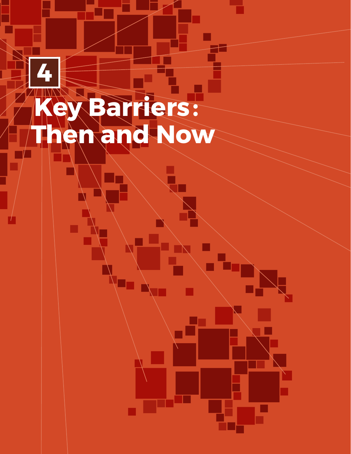## **Key Barriers:: Then and Now 4**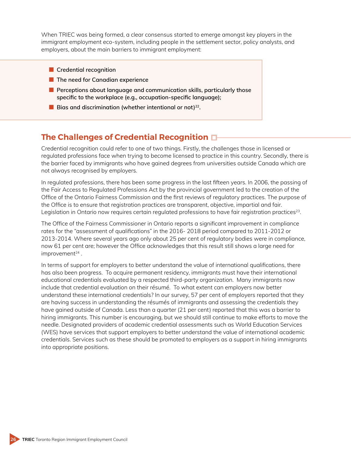When TRIEC was being formed, a clear consensus started to emerge amongst key players in the immigrant employment eco-system, including people in the settlement sector, policy analysts, and employers, about the main barriers to immigrant employment:

- **Credential recognition**
- The need for Canadian experience
- Perceptions about language and communication skills, particularly those **specific to the workplace (e.g., occupation-specific language);**
- Bias and discrimination (whether intentional or not)<sup>22</sup>.

## **The Challenges of Credential Recognition**

Credential recognition could refer to one of two things. Firstly, the challenges those in licensed or regulated professions face when trying to become licensed to practice in this country. Secondly, there is the barrier faced by immigrants who have gained degrees from universities outside Canada which are not always recognised by employers.

In regulated professions, there has been some progress in the last fifteen years. In 2006, the passing of the Fair Access to Regulated Professions Act by the provincial government led to the creation of the Office of the Ontario Fairness Commission and the first reviews of regulatory practices. The purpose of the Office is to ensure that registration practices are transparent, objective, impartial and fair. Legislation in Ontario now requires certain regulated professions to have fair registration practices<sup>23</sup>.

The Office of the Fairness Commissioner in Ontario reports a significant improvement in compliance rates for the "assessment of qualifications" in the 2016- 2018 period compared to 2011-2012 or 2013-2014. Where several years ago only about 25 per cent of regulatory bodies were in compliance, now 61 per cent are; however the Office acknowledges that this result still shows a large need for  $improvement<sup>24</sup>$ .

In terms of support for employers to better understand the value of international qualifications, there has also been progress. To acquire permanent residency, immigrants must have their international educational credentials evaluated by a respected third-party organization. Many immigrants now include that credential evaluation on their résumé. To what extent can employers now better understand these international credentials? In our survey, 57 per cent of employers reported that they are having success in understanding the résumés of immigrants and assessing the credentials they have gained outside of Canada. Less than a quarter (21 per cent) reported that this was a barrier to hiring immigrants. This number is encouraging, but we should still continue to make efforts to move the needle. Designated providers of academic credential assessments such as World Education Services (WES) have services that support employers to better understand the value of international academic credentials. Services such as these should be promoted to employers as a support in hiring immigrants into appropriate positions.

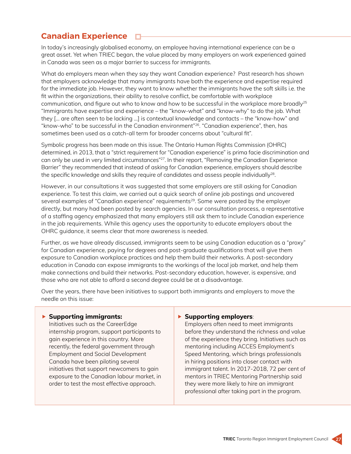#### **Canadian Experience** <u>п</u>

In today's increasingly globalised economy, an employee having international experience can be a great asset. Yet when TRIEC began, the value placed by many employers on work experienced gained in Canada was seen as a major barrier to success for immigrants.

What do employers mean when they say they want Canadian experience? Past research has shown that employers acknowledge that many immigrants have both the experience and expertise required for the immediate job. However, they want to know whether the immigrants have the soft skills i.e. the fit within the organizations, their ability to resolve conflict, be comfortable with workplace communication, and figure out who to know and how to be successful in the workplace more broadly<sup>25</sup> "Immigrants have expertise and experience – the "know-what" and "know-why" to do the job. What they [… are often seen to be lacking …] is contextual knowledge and contacts – the "know-how" and "know-who" to be successful in the Canadian environment"26. "Canadian experience", then, has sometimes been used as a catch-all term for broader concerns about "cultural fit".

Symbolic progress has been made on this issue. The Ontario Human Rights Commission (OHRC) determined, in 2013, that a "strict requirement for "Canadian experience" is prima facie discrimination and can only be used in very limited circumstances"27. In their report, "Removing the Canadian Experience Barrier" they recommended that instead of asking for Canadian experience, employers should describe the specific knowledge and skills they require of candidates and assess people individually<sup>28</sup>.

However, in our consultations it was suggested that some employers are still asking for Canadian experience. To test this claim, we carried out a quick search of online job postings and uncovered several examples of "Canadian experience" requirements<sup>29</sup>. Some were posted by the employer directly, but many had been posted by search agencies. In our consultation process, a representative of a staffing agency emphasized that many employers still ask them to include Canadian experience in the job requirements. While this agency uses the opportunity to educate employers about the OHRC guidance, it seems clear that more awareness is needed.

Further, as we have already discussed, immigrants seem to be using Canadian education as a "proxy" for Canadian experience, paying for degrees and post-graduate qualifications that will give them exposure to Canadian workplace practices and help them build their networks. A post-secondary education in Canada can expose immigrants to the workings of the local job market, and help them make connections and build their networks. Post-secondary education, however, is expensive, and those who are not able to afford a second degree could be at a disadvantage.

Over the years, there have been initiatives to support both immigrants and employers to move the needle on this issue:

#### **Supporting immigrants:**

Initiatives such as the CareerEdge internship program, support participants to gain experience in this country. More recently, the federal government through Employment and Social Development Canada have been piloting several initiatives that support newcomers to gain exposure to the Canadian labour market, in order to test the most effective approach.

#### **Supporting employers**:

Employers often need to meet immigrants before they understand the richness and value of the experience they bring. Initiatives such as mentoring including ACCES Employment's Speed Mentoring, which brings professionals in hiring positions into closer contact with immigrant talent. In 2017-2018, 72 per cent of mentors in TRIEC Mentoring Partnership said they were more likely to hire an immigrant professional after taking part in the program.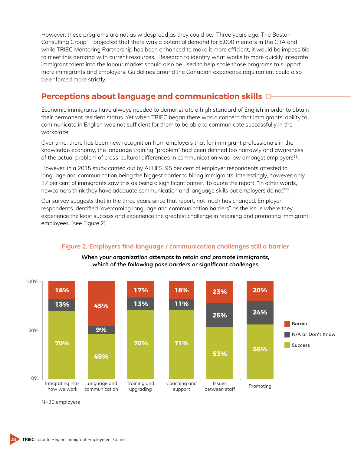However, these programs are not as widespread as they could be. Three years ago, The Boston Consulting Group30 projected that there was a potential demand for 6,000 mentors in the GTA and while TRIEC Mentoring Partnership has been enhanced to make it more efficient, it would be impossible to meet this demand with current resources. Research to identify what works to more quickly integrate immigrant talent into the labour market should also be used to help scale those programs to support more immigrants and employers. Guidelines around the Canadian experience requirement could also be enforced more strictly.

## **Perceptions about language and communication skills**

Economic immigrants have always needed to demonstrate a high standard of English in order to obtain their permanent resident status. Yet when TRIEC began there was a concern that immigrants' ability to communicate in English was not sufficient for them to be able to communicate successfully in the workplace.

Over time, there has been new recognition from employers that for immigrant professionals in the knowledge economy, the language training "problem" had been defined too narrowly and awareness of the actual problem of cross-cultural differences in communication was low amongst employers<sup>31</sup>.

However, in a 2015 study carried out by ALLIES, 95 per cent of employer respondents attested to language and communication being the biggest barrier to hiring immigrants. Interestingly, however, only 27 per cent of immigrants saw this as being a significant barrier. To quote the report, "In other words, newcomers think they have adequate communication and language skills but employers do not"32.

Our survey suggests that in the three years since that report, not much has changed. Employer respondents identified "overcoming language and communication barriers" as the issue where they experience the least success and experience the greatest challenge in retaining and promoting immigrant employees. [see Figure 2].



### **Figure 2. Employers find language / communication challenges still a barrier** *When your organization attempts to retain and promote immigrants,*

*which of the following pose barriers or significant challenges*

N=30 employers

**TRIEC** Toronto Region Immigrant Employment Council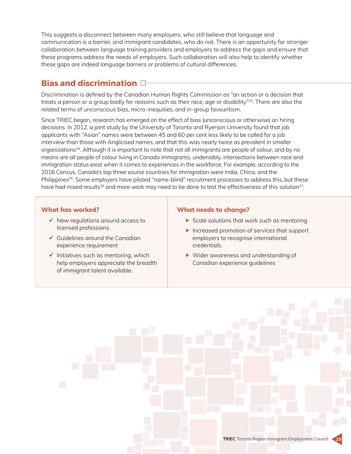This suggests a disconnect between many employers, who still believe that language and communication is a barrier, and immigrant candidates, who do not. There is an opportunity for stronger collaboration between language training providers and employers to address the gaps and ensure that these programs address the needs of employers. Such collaboration will also help to identify whether these gaps are indeed language barriers or problems of cultural differences.

## **Bias and discrimination**

Discrimination is defined by the Canadian Human Rights Commission as "an action or a decision that treats a person or a group badly for reasons such as their race, age or disability"<sup>33</sup>. There are also the related terms of unconscious bias, micro-inequities, and in-group favouritism.

Since TRIEC began, research has emerged on the effect of bias (unconscious or otherwise) on hiring decisions. In 2012, a joint study by the University of Toronto and Ryerson University found that job applicants with "Asian" names were between 45 and 60 per cent less likely to be called for a job interview than those with Anglicised names, and that this was nearly twice as prevalent in smaller organizations34. Although it is important to note that not all immigrants are people of colour, and by no means are all people of colour living in Canada immigrants, undeniably, intersections between race and immigration status exist when it comes to experiences in the workforce. For example, according to the 2016 Census, Canada's top three source countries for immigration were India, China, and the Philippines<sup>35</sup>. Some employers have piloted "name-blind" recruitment processes to address this, but these have had mixed results<sup>36</sup> and more work may need to be done to test the effectiveness of this solution<sup>37</sup>.

#### **What has worked?**

- $\checkmark$  New regulations around access to licensed professions
- $\checkmark$  Guidelines around the Canadian experience requirement
- $\checkmark$  Initiatives such as mentoring, which help employers appreciate the breadth of immigrant talent available.

#### **What needs to change?**

- $\triangleright$  Scale solutions that work such as mentoring
- Increased promotion of services that support employers to recognise international credentials.
- ▶ Wider awareness and understanding of Canadian experience guidelines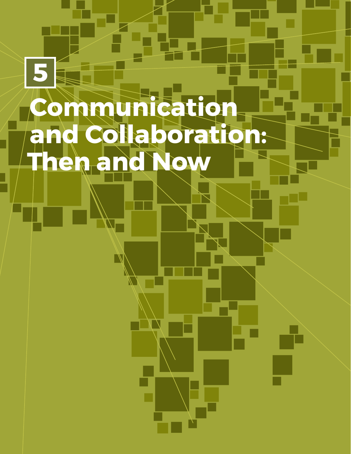## **Communication and Collaboration: Then and Now 5**

 $\mathbb{N}$ 

▛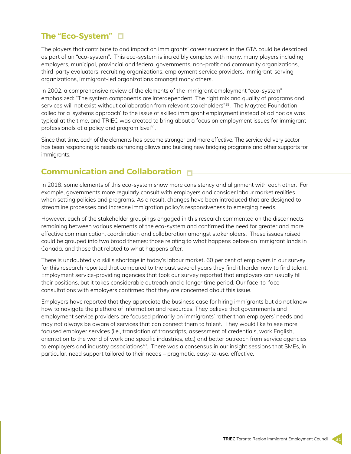## **The "Eco-System"**

The players that contribute to and impact on immigrants' career success in the GTA could be described as part of an "eco-system". This eco-system is incredibly complex with many, many players including employers, municipal, provincial and federal governments, non-profit and community organizations, third-party evaluators, recruiting organizations, employment service providers, immigrant-serving organizations, immigrant-led organizations amongst many others.

In 2002, a comprehensive review of the elements of the immigrant employment "eco-system" emphasized: "The system components are interdependent. The right mix and quality of programs and services will not exist without collaboration from relevant stakeholders"<sup>38</sup>. The Maytree Foundation called for a 'systems approach' to the issue of skilled immigrant employment instead of ad hoc as was typical at the time, and TRIEC was created to bring about a focus on employment issues for immigrant professionals at a policy and program level<sup>39</sup>.

Since that time, each of the elements has become stronger and more effective. The service delivery sector has been responding to needs as funding allows and building new bridging programs and other supports for immigrants.

## **Communication and Collaboration**

In 2018, some elements of this eco-system show more consistency and alignment with each other. For example, governments more regularly consult with employers and consider labour market realities when setting policies and programs. As a result, changes have been introduced that are designed to streamline processes and increase immigration policy's responsiveness to emerging needs.

However, each of the stakeholder groupings engaged in this research commented on the disconnects remaining between various elements of the eco-system and confirmed the need for greater and more effective communication, coordination and collaboration amongst stakeholders. These issues raised could be grouped into two broad themes: those relating to what happens before an immigrant lands in Canada, and those that related to what happens after.

There is undoubtedly a skills shortage in today's labour market. 60 per cent of employers in our survey for this research reported that compared to the past several years they find it harder now to find talent. Employment service-providing agencies that took our survey reported that employers can usually fill their positions, but it takes considerable outreach and a longer time period. Our face-to-face consultations with employers confirmed that they are concerned about this issue.

Employers have reported that they appreciate the business case for hiring immigrants but do not know how to navigate the plethora of information and resources. They believe that governments and employment service providers are focused primarily on immigrants' rather than employers' needs and may not always be aware of services that can connect them to talent. They would like to see more focused employer services (i.e., translation of transcripts, assessment of credentials, work English, orientation to the world of work and specific industries, etc.) and better outreach from service agencies to employers and industry associations<sup>40</sup>. There was a consensus in our insight sessions that SMEs, in particular, need support tailored to their needs – pragmatic, easy-to-use, effective.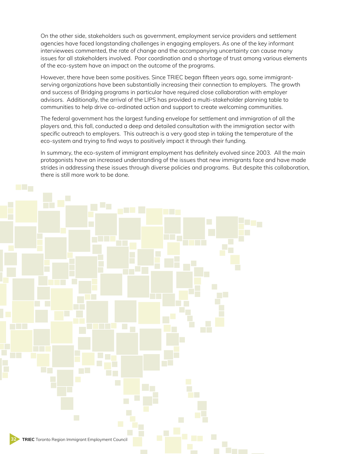On the other side, stakeholders such as government, employment service providers and settlement agencies have faced longstanding challenges in engaging employers. As one of the key informant interviewees commented, the rate of change and the accompanying uncertainty can cause many issues for all stakeholders involved. Poor coordination and a shortage of trust among various elements of the eco-system have an impact on the outcome of the programs.

However, there have been some positives. Since TRIEC began fifteen years ago, some immigrantserving organizations have been substantially increasing their connection to employers. The growth and success of Bridging programs in particular have required close collaboration with employer advisors. Additionally, the arrival of the LIPS has provided a multi-stakeholder planning table to communities to help drive co-ordinated action and support to create welcoming communities.

The federal government has the largest funding envelope for settlement and immigration of all the players and, this fall, conducted a deep and detailed consultation with the immigration sector with specific outreach to employers. This outreach is a very good step in taking the temperature of the eco-system and trying to find ways to positively impact it through their funding.

In summary, the eco-system of immigrant employment has definitely evolved since 2003. All the main protagonists have an increased understanding of the issues that new immigrants face and have made strides in addressing these issues through diverse policies and programs. But despite this collaboration, there is still more work to be done.

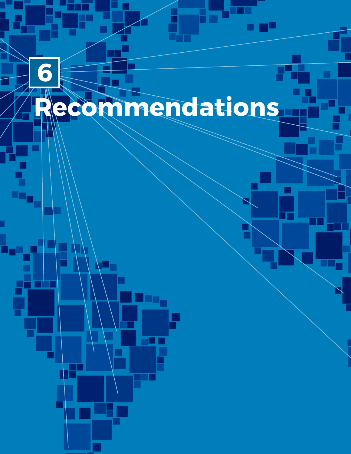# **Recommendations**

T

**6**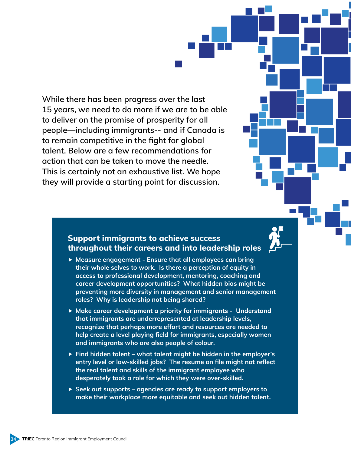**While there has been progress over the last 15 years, we need to do more if we are to be able to deliver on the promise of prosperity for all people—including immigrants-- and if Canada is to remain competitive in the fight for global talent. Below are a few recommendations for action that can be taken to move the needle. This is certainly not an exhaustive list. We hope they will provide a starting point for discussion.**



## **Support immigrants to achieve success throughout their careers and into leadership roles**

- **Measure engagement Ensure that all employees can bring their whole selves to work. Is there a perception of equity in access to professional development, mentoring, coaching and career development opportunities? What hidden bias might be preventing more diversity in management and senior management roles? Why is leadership not being shared?**
- **Make career development a priority for immigrants Understand that immigrants are underrepresented at leadership levels, recognize that perhaps more effort and resources are needed to help create a level playing field for immigrants, especially women and immigrants who are also people of colour.**
- **Find hidden talent what talent might be hidden in the employer's entry level or low-skilled jobs? The resume on file might not reflect the real talent and skills of the immigrant employee who desperately took a role for which they were over-skilled.**
- **Seek out supports agencies are ready to support employers to make their workplace more equitable and seek out hidden talent.**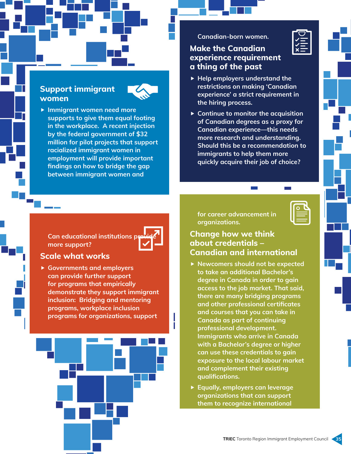## **Support immigrant women**



 **Immigrant women need more supports to give them equal footing in the workplace. A recent injection by the federal government of \$32 million for pilot projects that support racialized immigrant women in employment will provide important findings on how to bridge the gap between immigrant women and** 

#### **Canadian-born women.**

## **Make the Canadian experience requirement a thing of the past**

- **Help employers understand the restrictions on making 'Canadian experience' a strict requirement in the hiring process.**
- **Continue to monitor the acquisition of Canadian degrees as a proxy for Canadian experience—this needs more research and understanding. Should this be a recommendation to immigrants to help them more quickly acquire their job of choice?**

| Can educational institutions previek<br>more support? |  |
|-------------------------------------------------------|--|

## **Scale what works**

 **Governments and employers can provide further support for programs that empirically demonstrate they support immigrant inclusion: Bridging and mentoring programs, workplace inclusion programs for organizations, support** 



**for career advancement in organizations.**



## **Change how we think about credentials – Canadian and international**

- **Newcomers should not be expected to take an additional Bachelor's degree in Canada in order to gain access to the job market. That said, there are many bridging programs and other professional certificates and courses that you can take in Canada as part of continuing professional development. Immigrants who arrive in Canada with a Bachelor's degree or higher can use these credentials to gain exposure to the local labour market and complement their existing qualifications.**
- **Equally, employers can leverage organizations that can support them to recognize international**

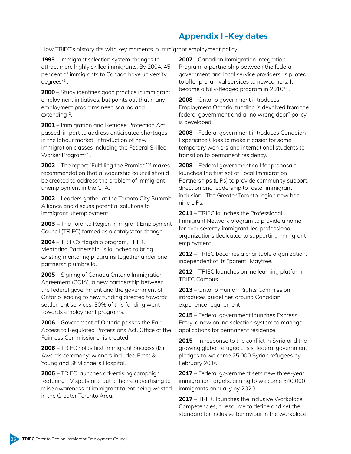## **Appendix I –Key dates**

How TRIEC's history fits with key moments in immigrant employment policy.

**1993** – Immigrant selection system changes to attract more highly skilled immigrants. By 2004, 45 per cent of immigrants to Canada have university  $deqrees<sup>41</sup>$ .

**2000** – Study identifies good practice in immigrant employment initiatives, but points out that many employment programs need scaling and extending<sup>42</sup>.

**2001** – Immigration and Refugee Protection Act passed, in part to address anticipated shortages in the labour market. Introduction of new immigration classes including the Federal Skilled Worker Program<sup>43</sup>.

**2002** – The report "Fulfilling the Promise"44 makes recommendation that a leadership council should be created to address the problem of immigrant unemployment in the GTA.

**2002** – Leaders gather at the Toronto City Summit Alliance and discuss potential solutions to immigrant unemployment.

2003 – The Toronto Region Immigrant Employment Council (TRIEC) formed as a catalyst for change.

**2004** – TRIEC's flagship program, TRIEC Mentoring Partnership, is launched to bring existing mentoring programs together under one partnership umbrella.

**2005** – Signing of Canada Ontario Immigration Agreement (COIA), a new partnership between the federal government and the government of Ontario leading to new funding directed towards settlement services. 30% of this funding went towards employment programs.

**2006** – Government of Ontario passes the Fair Access to Regulated Professions Act. Office of the Fairness Commissioner is created.

**2006** – TRIEC holds first Immigrant Success (IS) Awards ceremony: winners included Ernst & Young and St Michael's Hospital.

**2006** – TRIEC launches advertising campaign featuring TV spots and out of home advertising to raise awareness of immigrant talent being wasted in the Greater Toronto Area.

**2007** - Canadian Immigration Integration Program, a partnership between the federal government and local service providers, is piloted to offer pre-arrival services to newcomers. It became a fully-fledged program in 201045 .

**2008** – Ontario government introduces Employment Ontario; funding is devolved from the federal government and a "no wrong door" policy is developed.

**2008** – Federal government introduces Canadian Experience Class to make it easier for some temporary workers and international students to transition to permanent residency.

**2008** – Federal government call for proposals launches the first set of Local Immigration Partnerships (LIPs) to provide community support, direction and leadership to foster immigrant inclusion. The Greater Toronto region now has nine LIPs.

**2011** – TRIEC launches the Professional Immigrant Network program to provide a home for over seventy immigrant-led professional organizations dedicated to supporting immigrant employment.

**2012** – TRIEC becomes a charitable organization, independent of its "parent" Maytree.

**2012** – TRIEC launches online learning platform, TRIEC Campus.

**2013** – Ontario Human Rights Commission introduces guidelines around Canadian experience requirement

**2015** – Federal government launches Express Entry, a new online selection system to manage applications for permanent residence.

**2015** – In response to the conflict in Syria and the growing global refugee crisis, federal government pledges to welcome 25,000 Syrian refugees by February 2016.

**2017** – Federal government sets new three-year immigration targets, aiming to welcome 340,000 immigrants annually by 2020.

**2017** – TRIEC launches the Inclusive Workplace Competencies, a resource to define and set the standard for inclusive behaviour in the workplace

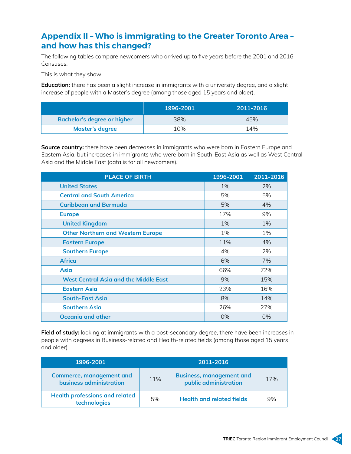## **Appendix II – Who is immigrating to the Greater Toronto Area – and how has this changed?**

The following tables compare newcomers who arrived up to five years before the 2001 and 2016 Censuses.

This is what they show:

**Education:** there has been a slight increase in immigrants with a university degree, and a slight increase of people with a Master's degree (among those aged 15 years and older).

|                             | 1996-2001 | 2011-2016 |
|-----------------------------|-----------|-----------|
| Bachelor's degree or higher | 38%       | 45%       |
| <b>Master's degree</b>      | 10%       | 14%       |

**Source country:** there have been decreases in immigrants who were born in Eastern Europe and Eastern Asia, but increases in immigrants who were born in South-East Asia as well as West Central Asia and the Middle East (data is for all newcomers).

| <b>PLACE OF BIRTH</b>                        | 1996-2001 | 2011-2016 |
|----------------------------------------------|-----------|-----------|
| <b>United States</b>                         | 1%        | 2%        |
| <b>Central and South America</b>             | 5%        | 5%        |
| <b>Caribbean and Bermuda</b>                 | 5%        | 4%        |
| <b>Europe</b>                                | 17%       | 9%        |
| <b>United Kingdom</b>                        | 1%        | 1%        |
| <b>Other Northern and Western Europe</b>     | 1%        | 1%        |
| <b>Eastern Europe</b>                        | 11%       | 4%        |
| <b>Southern Europe</b>                       | 4%        | 2%        |
| <b>Africa</b>                                | 6%        | 7%        |
| Asia                                         | 66%       | 72%       |
| <b>West Central Asia and the Middle East</b> | 9%        | 15%       |
| <b>Eastern Asia</b>                          | 23%       | 16%       |
| <b>South-East Asia</b>                       | 8%        | 14%       |
| <b>Southern Asia</b>                         | 26%       | 27%       |
| <b>Oceania and other</b>                     | 0%        | 0%        |

**Field of study:** looking at immigrants with a post-secondary degree, there have been increases in people with degrees in Business-related and Health-related fields (among those aged 15 years and older).

| 1996-2001                                                         | 2011-2016 |                                                          |     |
|-------------------------------------------------------------------|-----------|----------------------------------------------------------|-----|
| <b>Commerce, management and</b><br><b>business administration</b> | 11%       | <b>Business, management and</b><br>public administration | 17% |
| <b>Health professions and related</b><br>technologies             | 5%        | <b>Health and related fields</b>                         | 9%  |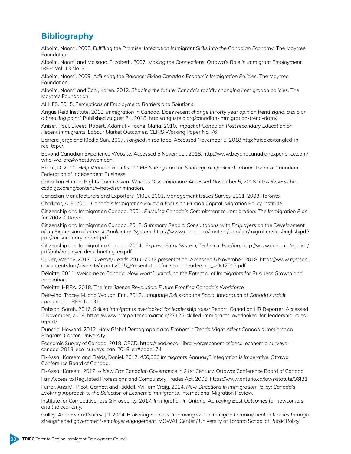## **Bibliography**

Alboim, Naomi. 2002. *Fulfilling the Promise: Integration Immigrant Skills into the Canadian Economy*. The Maytree Foundation.

Alboim, Naomi and McIsaac, Elizabeth. 2007. *Making the Connections: Ottawa's Role in Immigrant Employment*. IRPP, Vol. 13 No. 3.

Alboim, Naomi. 2009. *Adjusting the Balance: Fixing Canada's Economic Immigration Policies*. The Maytree Foundation.

Alboim, Naomi and Cohl, Karen. 2012. *Shaping the future: Canada's rapidly changing immigration policies*. The Maytree Foundation.

ALLIES. 2015. *Perceptions of Employment: Barriers and Solutions*.

Angus Reid Institute. 2018. *Immigration in Canada: Does recent change in forty year opinion trend signal a blip or a breaking point?* Published August 21, 2018, http://angusreid.org/canadian-immigration-trend-data/.

Anisef, Paul, Sweet, Robert, Adamuti-Trache, Maria, 2010. *Impact of Canadian Postsecondary Education on Recent Immigrants' Labour Market Outcome*s, CERIS Working Paper No. 76

Barrera Jorge and Media Sun. 2007. *Tangled in red tape.* Accessed November 5, 2018 http://triec.ca/tangled-inred-tape/.

Beyond Canadian Experience Website. Accessed 5 November, 2018, http://www.beyondcanadianexperience.com/ who-we-are#whatdowemean.

Bruce, D. 2001. *Help Wanted: Results of CFIB Surveys on the Shortage of Qualified Labour*. Toronto: Canadian Federation of Independent Business.

Canadian Human Rights Commission. *What is Discrimination?* Accessed November 5, 2018 https://www.chrcccdp.gc.ca/eng/content/what-discrimination.

Canadian Manufacturers and Exporters (CME). 2001. *Management Issues Survey* 2001-2003. Toronto.

Challinor, A. E. 2011. *Canada's Immigration Policy: a Focus on Human Capital.* Migration Policy Institute.

Citizenship and Immigration Canada. 2001. *Pursuing Canada's Commitment to Immigration: The Immigration Plan for 2002.* Ottawa.

Citizenship and Immigration Canada. 2012. *Summary Report: Consultations with Employers on the Development of an Expression of Interest Application System*. https://www.canada.ca/content/dam/ircc/migration/ircc/english/pdf/ pub/eoi-summary-report.pdf.

Citizenship and Immigration Canada. 2014. *Express Entry System, Technical Briefing*. http://www.cic.gc.ca/english/ pdf/pub/employer-deck-briefing-en.pdf

Cukier, Wendy. 2017. *Diversity Leads 2011-2017 presentation*. Accessed 5 November, 2018, https://www.ryerson. ca/content/dam/diversity/reports/C25\_Presentation-for-senior-leadership\_4Oct2017.pdf.

Deloitte. 2011. *Welcome to Canada. Now what? Unlocking the Potential of Immigrants for Business Growth and Innovation.*

Deloitte, HRPA. 2018. *The Intelligence Revolution: Future Proofing Canada's Workforce.*

Derwing, Tracey M. and Waugh, Erin. 2012. *Language Skills and the Social Integration of Canada's Adult Immigrants.* IRPP, No: 31.

Dobson, Sarah. 2016. *Skilled immigrants overlooked for leadership roles: Report.* Canadian HR Reporter, Accessed 5 November, 2018, https://www.hrreporter.com/article/27125-skilled-immigrants-overlooked-for-leadership-rolesreport/.

Duncan, Howard. 2012*. How Global Demographic and Economic Trends Might Affect Canada's Immigration Program*. Carlton University.

Economic Survey of Canada. 2018. OECD, https://read.oecd-ilibrary.org/economics/oecd-economic-surveyscanada-2018\_eco\_surveys-can-2018-en#page174.

El-Assal, Kareem and Fields, Daniel. 2017. *450,000 Immigrants Annually? Integration is Imperative.* Ottawa: Conference Board of Canada.

El-Assal, Kareem. 2017. *A New Era: Canadian Governance in 21st Century.* Ottawa: Conference Board of Canada.

Fair Access to Regulated Professions and Compulsory Trades Act. 2006. https://www.ontario.ca/laws/statute/06f31

Ferrer, Ana M., Picot, Garnett and Riddell, William Craig. 2014. *New Directions in Immigration Policy: Canada's Evolving Approach to the Selection of Economic Immigrants*. International Migration Review.

Institute for Competitiveness & Prosperity. 2017. *Immigration in Ontario: Achieving Best Outcomes for newcomers and the economy.* 

Galley, Andrew and Shirey, Jill. 2014. *Brokering Success: Improving skilled immigrant employment outcomes through strengthened government-employer engagement.* MOWAT Center / University of Toronto School of Public Policy.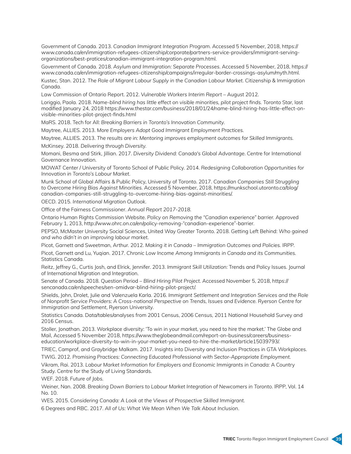Government of Canada. 2013. *Canadian Immigrant Integration Program*. Accessed 5 November, 2018, https:// www.canada.ca/en/immigration-refugees-citizenship/corporate/partners-service-providers/immigrant-servingorganizations/best-pratices/canadian-immigrant-integration-program.html.

Government of Canada. 2018. *Asylum and Immigration: Separate Processes*. Accessed 5 November, 2018, https:// www.canada.ca/en/immigration-refugees-citizenship/campaigns/irregular-border-crossings-asylum/myth.html.

Kustec, Stan. 2012. *The Role of Migrant Labour Supply in the Canadian Labour Market*. Citizenship & Immigration Canada.

Law Commission of Ontario Report. 2012. *Vulnerable Workers Interim Report* – August 2012.

Loriggio, Paola. 2018. *Name-blind hiring has little effect on visible minorities, pilot project finds.* Toronto Star, last modified January 24, 2018 https://www.thestar.com/business/2018/01/24/name-blind-hiring-has-little-effect-onvisible-minorities-pilot-project-finds.html

MaRS. 2018. Tech for All: *Breaking Barriers in Toronto's Innovation Community.*

Maytree, ALLIES. 2013. *More Employers Adopt Good Immigrant Employment Practices.*

Maytree, ALLIES. 2013. *The results are in: Mentoring improves employment outcomes for Skilled Immigrants.*

McKinsey. 2018. *Delivering through Diversity.*

Momani, Besma and Stirk, Jillian. 2017. *Diversity Dividend: Canada's Global Advantage*. Centre for International Governance Innovation.

MOWAT Center / University of Toronto School of Public Policy. 2014. *Redesigning Collaboration Opportunities for Innovation in Toronto's Labour Market*.

Munk School of Global Affairs & Public Policy, University of Toronto. 2017. *Canadian Companies Still Struggling to Overcome Hiring Bias Against Minorities.* Accessed 5 November, 2018, https://munkschool.utoronto.ca/blog/ canadian-companies-still-struggling-to-overcome-hiring-bias-against-minorities/.

OECD. 2015. *International Migration Outlook.*

Office of the Fairness Commissioner. *Annual Report 2017-2018.*

Ontario Human Rights Commission Website. *Policy on Removing the "Canadian experience" barrier.* Approved February 1, 2013, http://www.ohrc.on.ca/en/policy-removing-"canadian-experience"-barrier.

PEPSO, McMaster University Social Sciences, United Way Greater Toronto. 2018. Getting Left Behind: *Who gained and who didn't in an improving labour market.*

Picot, Garnett and Sweetman, Arthur. 2012. *Making it in Canada – Immigration Outcomes and Policies.* IRPP.

Picot, Garnett and Lu, Yuqian. 2017. *Chronic Low Income Among Immigrants in Canada and its Communities.* Statistics Canada.

Reitz, Jeffrey G., Curtis Josh, and Elrick, Jennifer. 2013. *Immigrant Skill Utilization:* Trends and Policy Issues. Journal of International Migration and Integration.

Senate of Canada. 2018. Question Period – *Blind Hiring Pilot Project*. Accessed November 5, 2018, https:// sencanada.ca/en/speeches/sen-omidvar-blind-hiring-pilot-project/.

Shields, John, Drolet, Julie and Valenzuela Karla. 2016. *Immigrant Settlement and Integration Services and the Role of Nonprofit Service Providers: A Cross-national Perspective on Trends, Issues and Evidence. Ryerson Centre for Immigration and Settlement*, Ryerson University.

Statistics Canada. Data/tables/analyses from 2001 Census, 2006 Census, 2011 National Household Survey and 2016 Census.

Stoller, Jonathan. 2013. Workplace diversity: 'To win in your market, you need to hire the market.' The Globe and Mail, Accessed 5 November 2018, https://www.theglobeandmail.com/report-on-business/careers/businesseducation/workplace-diversity-to-win-in-your-market-you-need-to-hire-the-market/article15039793/.

TRIEC, Camprof, and Graybridge Malkam. 2017. Insights into Diversity and Inclusion Practices in GTA Workplaces.

TWIG. 2012. *Promising Practices: Connecting Educated Professional with Sector-Appropriate Employment.* Vikram, Rai. 2013. *Labour Market Information for Employers and Economic Immigrants in Canada:* A Country

Study. Centre for the Study of Living Standards.

WEF. 2018. *Future of Jobs.*

Weiner, Nan. 2008. *Breaking Down Barriers to Labour Market Integration of Newcomers in Toronto*. IRPP, Vol. 14 No. 10.

WES. 2015. *Considering Canada: A Look at the Views of Prospective Skilled Immigrant.*

6 Degrees and RBC. 2017. *All of Us: What We Mean When We Talk About Inclusion*.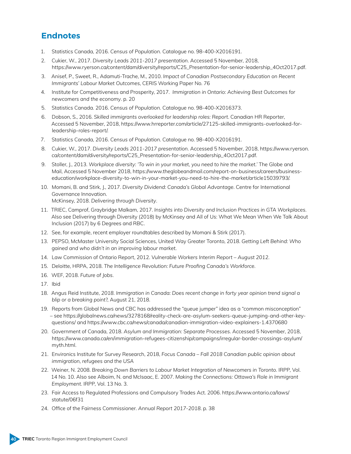## **Endnotes**

- 1. Statistics Canada, 2016. *Census of Population*. Catalogue no. 98-400-X2016191.
- 2. Cukier, W., 2017. *Diversity Leads 2011-2017 presentation*. Accessed 5 November, 2018, https://www.ryerson.ca/content/dam/diversity/reports/C25\_Presentation-for-senior-leadership\_4Oct2017.pdf.
- 3. Anisef, P., Sweet, R., Adamuti-Trache, M., 2010. *Impact of Canadian Postsecondary Education on Recent Immigrants' Labour Market Outcomes*, CERIS Working Paper No. 76
- 4. Institute for Competitiveness and Prosperity, 2017. *Immigration in Ontario: Achieving Best Outcomes for newcomers and the economy*. p. 20
- 5. Statistics Canada. 2016. *Census of Population*. Catalogue no. 98-400-X2016373.
- 6. Dobson, S., 2016. *Skilled immigrants overlooked for leadership roles: Report*. Canadian HR Reporter, Accessed 5 November, 2018, https://www.hrreporter.com/article/27125-skilled-immigrants-overlooked-forleadership-roles-report/.
- 7. Statistics Canada, 2016. *Census of Population*. Catalogue no. 98-400-X2016191.
- 8. Cukier, W., 2017. *Diversity Leads 2011-2017 presentation*. Accessed 5 November, 2018, https://www.ryerson. ca/content/dam/diversity/reports/C25\_Presentation-for-senior-leadership\_4Oct2017.pdf.
- 9. Stoller, J., 2013. *Workplace diversity: 'To win in your market, you need to hire the market.'* The Globe and Mail, Accessed 5 November 2018, https://www.theglobeandmail.com/report-on-business/careers/businesseducation/workplace-diversity-to-win-in-your-market-you-need-to-hire-the-market/article15039793/.
- 10. Momani, B. and Stirk, J., 2017. *Diversity Dividend: Canada's Global Advantage*. Centre for International Governance Innovation. McKinsey, 2018. *Delivering through Diversity*.
- 11. TRIEC, Camprof, Graybridge Malkam, 2017. *Insights into Diversity and Inclusion Practices in GTA Workplaces*. Also see Delivering through Diversity (2018) by McKinsey and All of Us: What We Mean When We Talk About Inclusion (2017) by 6 Degrees and RBC.
- 12. See, for example, recent employer roundtables described by Momani & Stirk (2017).
- 13. PEPSO, McMaster University Social Sciences, United Way Greater Toronto, 2018. *Getting Left Behind: Who gained and who didn't in an improving labour market*.
- 14. Law Commission of Ontario Report, 2012. *Vulnerable Workers Interim Report August 2012*.
- 15. Deloitte, HRPA, 2018. *The Intelligence Revolution: Future Proofing Canada's Workforce*.
- 16. WEF, 2018. *Future of Jobs*.
- 17. Ibid
- 18. Angus Reid Institute, *2018. Immigration in Canada: Does recent change in forty year opinion trend signal a blip or a breaking point*?, August 21, 2018.
- 19. Reports from Global News and CBC has addressed the "queue jumper" idea as a "common misconception" – see [https://globalnews.ca/news/3278168/reality-check-are-asylum-seekers-queue-jumping-and-other-key](https://globalnews.ca/news/3278168/reality-check-are-asylum-seekers-queue-jumping-and-other-key-questions/)[questions/](https://globalnews.ca/news/3278168/reality-check-are-asylum-seekers-queue-jumping-and-other-key-questions/) and <https://www.cbc.ca/news/canada/canadian-immigration-video-explainers-1.4370680>
- 20. Government of Canada, 2018. *Asylum and Immigration: Separate Processes*. Accessed 5 November, 2018, [https://www.canada.ca/en/immigration-refugees-citizenship/campaigns/irregular-border-crossings-asylum/](https://www.canada.ca/en/immigration-refugees-citizenship/campaigns/irregular-border-crossings-asylum/myth.html) [myth.html](https://www.canada.ca/en/immigration-refugees-citizenship/campaigns/irregular-border-crossings-asylum/myth.html).
- 21. Environics Institute for Survey Research, 2018, *Focus Canada Fall 2018 Canadian public opinion about immigration, refugees and the USA*
- 22. Weiner, N. 2008. *Breaking Down Barriers to Labour Market Integration of Newcomers in Toronto*. IRPP, Vol. 14 No. 10. Also see Alboim, N. and McIsaac, E. 2007. *Making the Connections: Ottawa's Role in Immigrant Employment*. IRPP, Vol. 13 No. 3.
- 23. [Fair Access to Regulated Professions and Compulsory Trades Act](http://www.e-laws.gov.on.ca/html/statutes/english/elaws_statutes_06f31_e.htm). 2006. https://www.ontario.ca/laws/ statute/06f31
- 24. Office of the Fairness Commissioner. *Annual Report 2017-2018*. p. 38

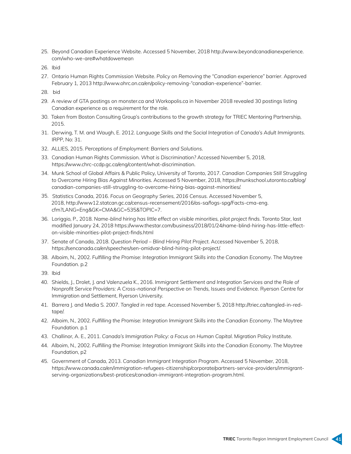- 25. Beyond Canadian Experience Website. Accessed 5 November, 2018 http://www.beyondcanadianexperience. com/who-we-are#whatdowemean
- 26. Ibid
- 27. Ontario Human Rights Commission Website. *Policy on Removing the "Canadian experience" barrier*. Approved February 1, 2013 [http://www.ohrc.on.ca/en/policy-removing-"canadian-experience"-barrier](http://www.ohrc.on.ca/en/policy-removing-).
- 28. bid
- 29. A review of GTA postings on monster.ca and Workopolis.ca in November 2018 revealed 30 postings listing Canadian experience as a requirement for the role.
- 30. Taken from Boston Consulting Group's contributions to the growth strategy for TRIEC Mentoring Partnership, 2015.
- 31. Derwing, T. M. and Waugh, E. 2012*. Language Skills and the Social Integration of Canada's Adult Immigrants*. IRPP, No: 31.
- 32. ALLIES, 2015. *Perceptions of Employment: Barriers and Solutions*.
- 33. Canadian Human Rights Commission. *What is Discrimination?* Accessed November 5, 2018, <https://www.chrc-ccdp.gc.ca/eng/content/what-discrimination>.
- 34. Munk School of Global Affairs & Public Policy, University of Toronto, 2017. *Canadian Companies Still Struggling to Overcome Hiring Bias Against Minorities*. Accessed 5 November, 2018, https://munkschool.utoronto.ca/blog/ canadian-companies-still-struggling-to-overcome-hiring-bias-against-minorities/.
- 35. Statistics Canada, 2016. *Focus on Geography Series, 2016 Census*. Accessed November 5, 2018, [http://www12.statcan.gc.ca/census-recensement/2016/as-sa/fogs-spg/Facts-cma-eng.](http://www12.statcan.gc.ca/census-recensement/2016/as-sa/fogs-spg/Facts-cma-eng.cfm?LANG=Eng&GK=CMA&GC=535&TOPIC=7) [cfm?LANG=Eng&GK=CMA&GC=535&TOPIC=7](http://www12.statcan.gc.ca/census-recensement/2016/as-sa/fogs-spg/Facts-cma-eng.cfm?LANG=Eng&GK=CMA&GC=535&TOPIC=7).
- 36. Loriggio, P., 2018. *Name-blind hiring has little effect on visible minorities, pilot project finds*. Toronto Star, last modified January 24, 2018 [https://www.thestar.com/business/2018/01/24/name-blind-hiring-has-little-effect](https://www.thestar.com/business/2018/01/24/name-blind-hiring-has-little-effect-on-visible-minorities-pilot-project-finds.html)[on-visible-minorities-pilot-project-finds.html](https://www.thestar.com/business/2018/01/24/name-blind-hiring-has-little-effect-on-visible-minorities-pilot-project-finds.html)
- 37. Senate of Canada, 2018. *Question Period Blind Hiring Pilot Project*. Accessed November 5, 2018, https://sencanada.ca/en/speeches/sen-omidvar-blind-hiring-pilot-project/.
- 38. Alboim, N., 2002. *Fulfilling the Promise: Integration Immigrant Skills into the Canadian Economy*. The Maytree Foundation. p.2
- 39. Ibid
- 40. Shields, J., Drolet, J. and Valenzuela K., 2016. *Immigrant Settlement and Integration Services and the Role of Nonprofit Service Providers: A Cross-national Perspective on Trends, Issues and Evidence. Ryerson Centre for* Immigration and Settlement, Ryerson University.
- 41. Barrera J. and Media S. 2007. *Tangled in red tape*. Accessed November 5, 2018 http://triec.ca/tangled-in-redtape/.
- 42. Alboim, N., 2002. *Fulfilling the Promise: Integration Immigrant Skills into the Canadian Economy*. The Maytree Foundation. p.1
- 43. Challinor, A. E., 2011. *Canada's Immigration Policy: a Focus on Human Capital*. Migration Policy Institute.
- 44. Alboim, N., 2002. *Fulfilling the Promise: Integration Immigrant Skills into the Canadian Economy*. The Maytree Foundation, p2
- 45. Government of Canada, 2013. *Canadian Immigrant Integration Program*. Accessed 5 November, 2018, https://www.canada.ca/en/immigration-refugees-citizenship/corporate/partners-service-providers/immigrantserving-organizations/best-pratices/canadian-immigrant-integration-program.html.